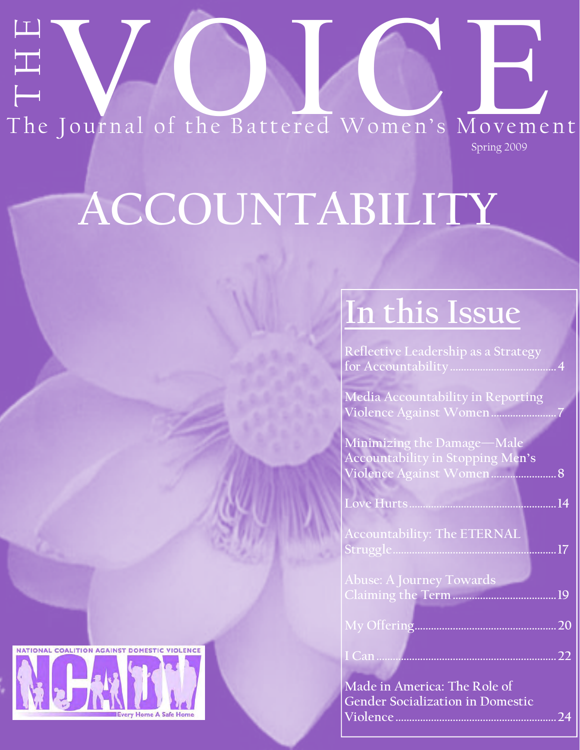# The Journal of the Battered Women's Movement Spring 2009

# **ACCOUNTABILITY**

# **In this Issue**

| Reflective Leadership as a Strategy                                     |                 |
|-------------------------------------------------------------------------|-----------------|
| <b>Media Accountability in Reporting</b>                                |                 |
| Violence Against Women                                                  |                 |
| Minimizing the Damage-Male<br>Accountability in Stopping Men's          |                 |
| Violence Against Women<br>8                                             |                 |
| Love Hurts<br>14                                                        |                 |
| <b>Accountability: The ETERNAL</b><br>Struggle<br>17                    |                 |
| <b>Abuse: A Journey Towards</b>                                         |                 |
| 19                                                                      |                 |
| My Offering                                                             | 20              |
|                                                                         | $\overline{22}$ |
| Made in America: The Role of<br><b>Gender Socialization in Domestic</b> |                 |

Violen

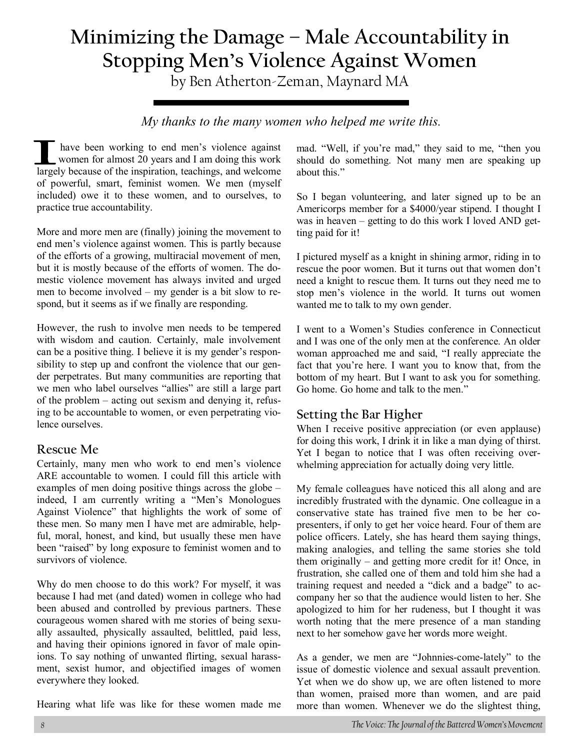## **Minimizing the Damage – Male Accountability in Stopping Men's Violence Against Women**

by Ben Atherton-Zeman, Maynard MA

*My thanks to the many women who helped me write this.* 

 have been working to end men's violence against women for almost 20 years and I am doing this work largely because of the inspiration, teachings, and welcome of powerful, smart, feminist women. We men (myself included) owe it to these women, and to ourselves, to practice true accountability.

More and more men are (finally) joining the movement to end men's violence against women. This is partly because of the efforts of a growing, multiracial movement of men, but it is mostly because of the efforts of women. The domestic violence movement has always invited and urged men to become involved – my gender is a bit slow to respond, but it seems as if we finally are responding.

However, the rush to involve men needs to be tempered with wisdom and caution. Certainly, male involvement can be a positive thing. I believe it is my gender's responsibility to step up and confront the violence that our gender perpetrates. But many communities are reporting that we men who label ourselves "allies" are still a large part of the problem – acting out sexism and denying it, refusing to be accountable to women, or even perpetrating violence ourselves.

#### **Rescue Me**

Certainly, many men who work to end men's violence ARE accountable to women. I could fill this article with examples of men doing positive things across the globe – indeed, I am currently writing a "Men's Monologues Against Violence" that highlights the work of some of these men. So many men I have met are admirable, helpful, moral, honest, and kind, but usually these men have been "raised" by long exposure to feminist women and to survivors of violence.

Why do men choose to do this work? For myself, it was because I had met (and dated) women in college who had been abused and controlled by previous partners. These courageous women shared with me stories of being sexually assaulted, physically assaulted, belittled, paid less, and having their opinions ignored in favor of male opinions. To say nothing of unwanted flirting, sexual harassment, sexist humor, and objectified images of women everywhere they looked.

Hearing what life was like for these women made me

mad. "Well, if you're mad," they said to me, "then you should do something. Not many men are speaking up about this."

So I began volunteering, and later signed up to be an Americorps member for a \$4000/year stipend. I thought I was in heaven – getting to do this work I loved AND getting paid for it!

I pictured myself as a knight in shining armor, riding in to rescue the poor women. But it turns out that women don't need a knight to rescue them. It turns out they need me to stop men's violence in the world. It turns out women wanted me to talk to my own gender.

I went to a Women's Studies conference in Connecticut and I was one of the only men at the conference. An older woman approached me and said, "I really appreciate the fact that you're here. I want you to know that, from the bottom of my heart. But I want to ask you for something. Go home. Go home and talk to the men."

#### **Setting the Bar Higher**

When I receive positive appreciation (or even applause) for doing this work, I drink it in like a man dying of thirst. Yet I began to notice that I was often receiving overwhelming appreciation for actually doing very little.

My female colleagues have noticed this all along and are incredibly frustrated with the dynamic. One colleague in a conservative state has trained five men to be her copresenters, if only to get her voice heard. Four of them are police officers. Lately, she has heard them saying things, making analogies, and telling the same stories she told them originally – and getting more credit for it! Once, in frustration, she called one of them and told him she had a training request and needed a "dick and a badge" to accompany her so that the audience would listen to her. She apologized to him for her rudeness, but I thought it was worth noting that the mere presence of a man standing next to her somehow gave her words more weight.

As a gender, we men are "Johnnies-come-lately" to the issue of domestic violence and sexual assault prevention. Yet when we do show up, we are often listened to more than women, praised more than women, and are paid more than women. Whenever we do the slightest thing,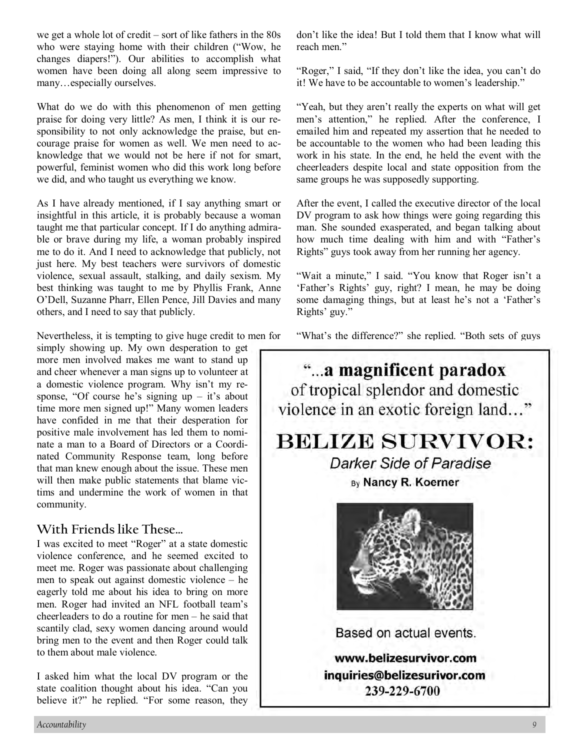we get a whole lot of credit – sort of like fathers in the 80s who were staying home with their children ("Wow, he changes diapers!"). Our abilities to accomplish what women have been doing all along seem impressive to many…especially ourselves.

What do we do with this phenomenon of men getting praise for doing very little? As men, I think it is our responsibility to not only acknowledge the praise, but encourage praise for women as well. We men need to acknowledge that we would not be here if not for smart, powerful, feminist women who did this work long before we did, and who taught us everything we know.

As I have already mentioned, if I say anything smart or insightful in this article, it is probably because a woman taught me that particular concept. If I do anything admirable or brave during my life, a woman probably inspired me to do it. And I need to acknowledge that publicly, not just here. My best teachers were survivors of domestic violence, sexual assault, stalking, and daily sexism. My best thinking was taught to me by Phyllis Frank, Anne O'Dell, Suzanne Pharr, Ellen Pence, Jill Davies and many others, and I need to say that publicly.

Nevertheless, it is tempting to give huge credit to men for

simply showing up. My own desperation to get more men involved makes me want to stand up and cheer whenever a man signs up to volunteer at a domestic violence program. Why isn't my response, "Of course he's signing  $up - it$ 's about time more men signed up!" Many women leaders have confided in me that their desperation for positive male involvement has led them to nominate a man to a Board of Directors or a Coordinated Community Response team, long before that man knew enough about the issue. These men will then make public statements that blame victims and undermine the work of women in that community.

#### **With Friends like These…**

I was excited to meet "Roger" at a state domestic violence conference, and he seemed excited to meet me. Roger was passionate about challenging men to speak out against domestic violence – he eagerly told me about his idea to bring on more men. Roger had invited an NFL football team's cheerleaders to do a routine for men – he said that scantily clad, sexy women dancing around would bring men to the event and then Roger could talk to them about male violence.

I asked him what the local DV program or the state coalition thought about his idea. "Can you believe it?" he replied. "For some reason, they

don't like the idea! But I told them that I know what will reach men."

"Roger," I said, "If they don't like the idea, you can't do it! We have to be accountable to women's leadership."

"Yeah, but they aren't really the experts on what will get men's attention," he replied. After the conference, I emailed him and repeated my assertion that he needed to be accountable to the women who had been leading this work in his state. In the end, he held the event with the cheerleaders despite local and state opposition from the same groups he was supposedly supporting.

After the event, I called the executive director of the local DV program to ask how things were going regarding this man. She sounded exasperated, and began talking about how much time dealing with him and with "Father's Rights" guys took away from her running her agency.

"Wait a minute," I said. "You know that Roger isn't a 'Father's Rights' guy, right? I mean, he may be doing some damaging things, but at least he's not a 'Father's Rights' guy."

"What's the difference?" she replied. "Both sets of guys



239-229-6700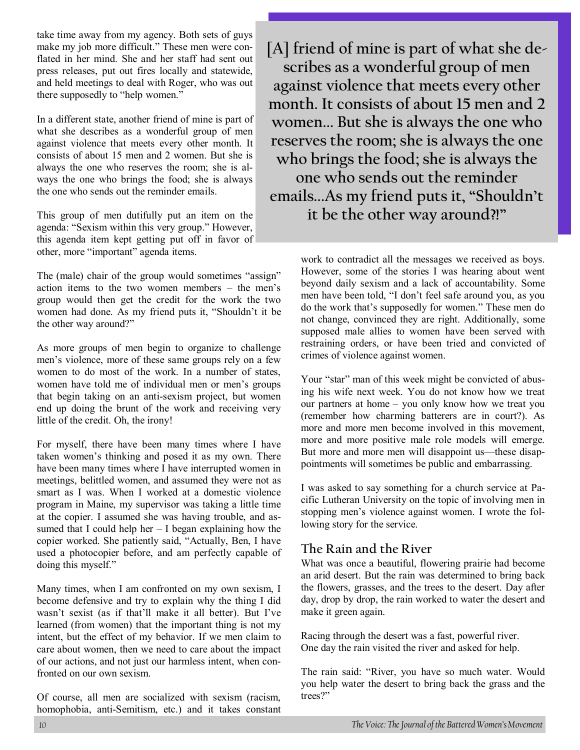take time away from my agency. Both sets of guys make my job more difficult." These men were conflated in her mind. She and her staff had sent out press releases, put out fires locally and statewide, and held meetings to deal with Roger, who was out there supposedly to "help women."

In a different state, another friend of mine is part of what she describes as a wonderful group of men against violence that meets every other month. It consists of about 15 men and 2 women. But she is always the one who reserves the room; she is always the one who brings the food; she is always the one who sends out the reminder emails.

This group of men dutifully put an item on the agenda: "Sexism within this very group." However, this agenda item kept getting put off in favor of other, more "important" agenda items.

The (male) chair of the group would sometimes "assign" action items to the two women members – the men's group would then get the credit for the work the two women had done. As my friend puts it, "Shouldn't it be the other way around?"

As more groups of men begin to organize to challenge men's violence, more of these same groups rely on a few women to do most of the work. In a number of states, women have told me of individual men or men's groups that begin taking on an anti-sexism project, but women end up doing the brunt of the work and receiving very little of the credit. Oh, the irony!

For myself, there have been many times where I have taken women's thinking and posed it as my own. There have been many times where I have interrupted women in meetings, belittled women, and assumed they were not as smart as I was. When I worked at a domestic violence program in Maine, my supervisor was taking a little time at the copier. I assumed she was having trouble, and assumed that I could help her – I began explaining how the copier worked. She patiently said, "Actually, Ben, I have used a photocopier before, and am perfectly capable of doing this myself."

Many times, when I am confronted on my own sexism, I become defensive and try to explain why the thing I did wasn't sexist (as if that'll make it all better). But I've learned (from women) that the important thing is not my intent, but the effect of my behavior. If we men claim to care about women, then we need to care about the impact of our actions, and not just our harmless intent, when confronted on our own sexism.

Of course, all men are socialized with sexism (racism, homophobia, anti-Semitism, etc.) and it takes constant

**[A] friend of mine is part of what she describes as a wonderful group of men against violence that meets every other month. It consists of about 15 men and 2 women... But she is always the one who reserves the room; she is always the one who brings the food; she is always the one who sends out the reminder emails...As my friend puts it, "Shouldn't it be the other way around?!"** 

> work to contradict all the messages we received as boys. However, some of the stories I was hearing about went beyond daily sexism and a lack of accountability. Some men have been told, "I don't feel safe around you, as you do the work that's supposedly for women." These men do not change, convinced they are right. Additionally, some supposed male allies to women have been served with restraining orders, or have been tried and convicted of crimes of violence against women.

> Your "star" man of this week might be convicted of abusing his wife next week. You do not know how we treat our partners at home – you only know how we treat you (remember how charming batterers are in court?). As more and more men become involved in this movement, more and more positive male role models will emerge. But more and more men will disappoint us—these disappointments will sometimes be public and embarrassing.

> I was asked to say something for a church service at Pacific Lutheran University on the topic of involving men in stopping men's violence against women. I wrote the following story for the service.

#### **The Rain and the River**

What was once a beautiful, flowering prairie had become an arid desert. But the rain was determined to bring back the flowers, grasses, and the trees to the desert. Day after day, drop by drop, the rain worked to water the desert and make it green again.

Racing through the desert was a fast, powerful river. One day the rain visited the river and asked for help.

The rain said: "River, you have so much water. Would you help water the desert to bring back the grass and the trees?"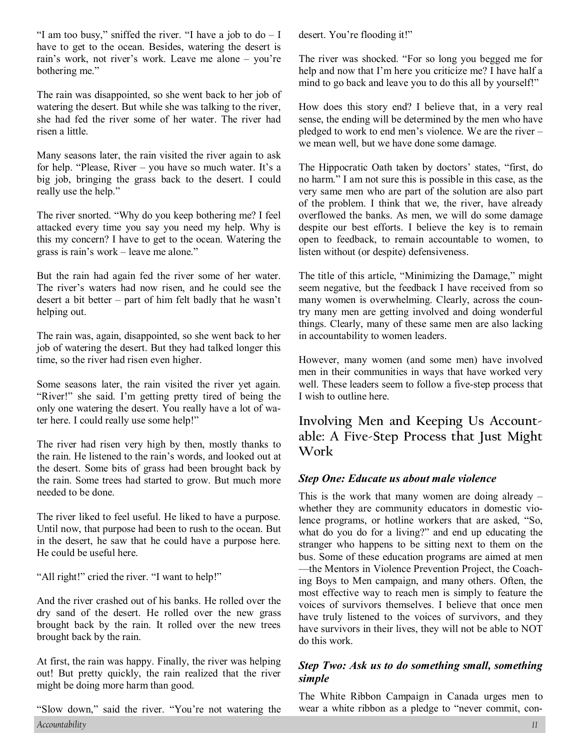"I am too busy," sniffed the river. "I have a job to  $do - I$ have to get to the ocean. Besides, watering the desert is rain's work, not river's work. Leave me alone – you're bothering me."

The rain was disappointed, so she went back to her job of watering the desert. But while she was talking to the river, she had fed the river some of her water. The river had risen a little.

Many seasons later, the rain visited the river again to ask for help. "Please, River – you have so much water. It's a big job, bringing the grass back to the desert. I could really use the help."

The river snorted. "Why do you keep bothering me? I feel attacked every time you say you need my help. Why is this my concern? I have to get to the ocean. Watering the grass is rain's work – leave me alone."

But the rain had again fed the river some of her water. The river's waters had now risen, and he could see the desert a bit better – part of him felt badly that he wasn't helping out.

The rain was, again, disappointed, so she went back to her job of watering the desert. But they had talked longer this time, so the river had risen even higher.

Some seasons later, the rain visited the river yet again. "River!" she said. I'm getting pretty tired of being the only one watering the desert. You really have a lot of water here. I could really use some help!"

The river had risen very high by then, mostly thanks to the rain. He listened to the rain's words, and looked out at the desert. Some bits of grass had been brought back by the rain. Some trees had started to grow. But much more needed to be done.

The river liked to feel useful. He liked to have a purpose. Until now, that purpose had been to rush to the ocean. But in the desert, he saw that he could have a purpose here. He could be useful here.

"All right!" cried the river. "I want to help!"

And the river crashed out of his banks. He rolled over the dry sand of the desert. He rolled over the new grass brought back by the rain. It rolled over the new trees brought back by the rain.

At first, the rain was happy. Finally, the river was helping out! But pretty quickly, the rain realized that the river might be doing more harm than good.

*Accountability 11*  "Slow down," said the river. "You're not watering the

desert. You're flooding it!"

The river was shocked. "For so long you begged me for help and now that I'm here you criticize me? I have half a mind to go back and leave you to do this all by yourself!"

How does this story end? I believe that, in a very real sense, the ending will be determined by the men who have pledged to work to end men's violence. We are the river – we mean well, but we have done some damage.

The Hippocratic Oath taken by doctors' states, "first, do no harm." I am not sure this is possible in this case, as the very same men who are part of the solution are also part of the problem. I think that we, the river, have already overflowed the banks. As men, we will do some damage despite our best efforts. I believe the key is to remain open to feedback, to remain accountable to women, to listen without (or despite) defensiveness.

The title of this article, "Minimizing the Damage," might seem negative, but the feedback I have received from so many women is overwhelming. Clearly, across the country many men are getting involved and doing wonderful things. Clearly, many of these same men are also lacking in accountability to women leaders.

However, many women (and some men) have involved men in their communities in ways that have worked very well. These leaders seem to follow a five-step process that I wish to outline here.

**Involving Men and Keeping Us Accountable: A Five-Step Process that Just Might Work** 

#### *Step One: Educate us about male violence*

This is the work that many women are doing already – whether they are community educators in domestic violence programs, or hotline workers that are asked, "So, what do you do for a living?" and end up educating the stranger who happens to be sitting next to them on the bus. Some of these education programs are aimed at men —the Mentors in Violence Prevention Project, the Coaching Boys to Men campaign, and many others. Often, the most effective way to reach men is simply to feature the voices of survivors themselves. I believe that once men have truly listened to the voices of survivors, and they have survivors in their lives, they will not be able to NOT do this work.

#### *Step Two: Ask us to do something small, something simple*

The White Ribbon Campaign in Canada urges men to wear a white ribbon as a pledge to "never commit, con-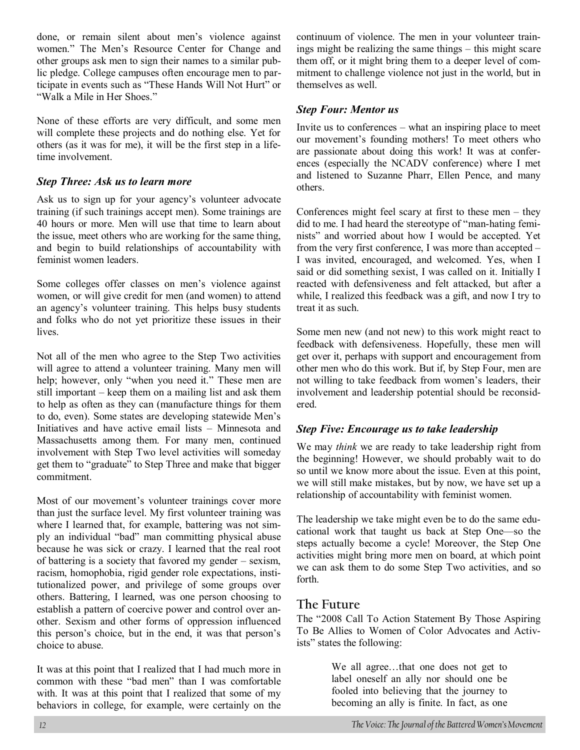done, or remain silent about men's violence against women." The Men's Resource Center for Change and other groups ask men to sign their names to a similar public pledge. College campuses often encourage men to participate in events such as "These Hands Will Not Hurt" or "Walk a Mile in Her Shoes."

None of these efforts are very difficult, and some men will complete these projects and do nothing else. Yet for others (as it was for me), it will be the first step in a lifetime involvement.

#### *Step Three: Ask us to learn more*

Ask us to sign up for your agency's volunteer advocate training (if such trainings accept men). Some trainings are 40 hours or more. Men will use that time to learn about the issue, meet others who are working for the same thing, and begin to build relationships of accountability with feminist women leaders.

Some colleges offer classes on men's violence against women, or will give credit for men (and women) to attend an agency's volunteer training. This helps busy students and folks who do not yet prioritize these issues in their lives.

Not all of the men who agree to the Step Two activities will agree to attend a volunteer training. Many men will help; however, only "when you need it." These men are still important – keep them on a mailing list and ask them to help as often as they can (manufacture things for them to do, even). Some states are developing statewide Men's Initiatives and have active email lists – Minnesota and Massachusetts among them. For many men, continued involvement with Step Two level activities will someday get them to "graduate" to Step Three and make that bigger commitment.

Most of our movement's volunteer trainings cover more than just the surface level. My first volunteer training was where I learned that, for example, battering was not simply an individual "bad" man committing physical abuse because he was sick or crazy. I learned that the real root of battering is a society that favored my gender – sexism, racism, homophobia, rigid gender role expectations, institutionalized power, and privilege of some groups over others. Battering, I learned, was one person choosing to establish a pattern of coercive power and control over another. Sexism and other forms of oppression influenced this person's choice, but in the end, it was that person's choice to abuse.

It was at this point that I realized that I had much more in common with these "bad men" than I was comfortable with. It was at this point that I realized that some of my behaviors in college, for example, were certainly on the continuum of violence. The men in your volunteer trainings might be realizing the same things – this might scare them off, or it might bring them to a deeper level of commitment to challenge violence not just in the world, but in themselves as well.

#### *Step Four: Mentor us*

Invite us to conferences – what an inspiring place to meet our movement's founding mothers! To meet others who are passionate about doing this work! It was at conferences (especially the NCADV conference) where I met and listened to Suzanne Pharr, Ellen Pence, and many others.

Conferences might feel scary at first to these men – they did to me. I had heard the stereotype of "man-hating feminists" and worried about how I would be accepted. Yet from the very first conference, I was more than accepted – I was invited, encouraged, and welcomed. Yes, when I said or did something sexist, I was called on it. Initially I reacted with defensiveness and felt attacked, but after a while, I realized this feedback was a gift, and now I try to treat it as such.

Some men new (and not new) to this work might react to feedback with defensiveness. Hopefully, these men will get over it, perhaps with support and encouragement from other men who do this work. But if, by Step Four, men are not willing to take feedback from women's leaders, their involvement and leadership potential should be reconsidered.

#### *Step Five: Encourage us to take leadership*

We may *think* we are ready to take leadership right from the beginning! However, we should probably wait to do so until we know more about the issue. Even at this point, we will still make mistakes, but by now, we have set up a relationship of accountability with feminist women.

The leadership we take might even be to do the same educational work that taught us back at Step One—so the steps actually become a cycle! Moreover, the Step One activities might bring more men on board, at which point we can ask them to do some Step Two activities, and so forth.

#### **The Future**

The "2008 Call To Action Statement By Those Aspiring To Be Allies to Women of Color Advocates and Activists" states the following:

> We all agree…that one does not get to label oneself an ally nor should one be fooled into believing that the journey to becoming an ally is finite. In fact, as one